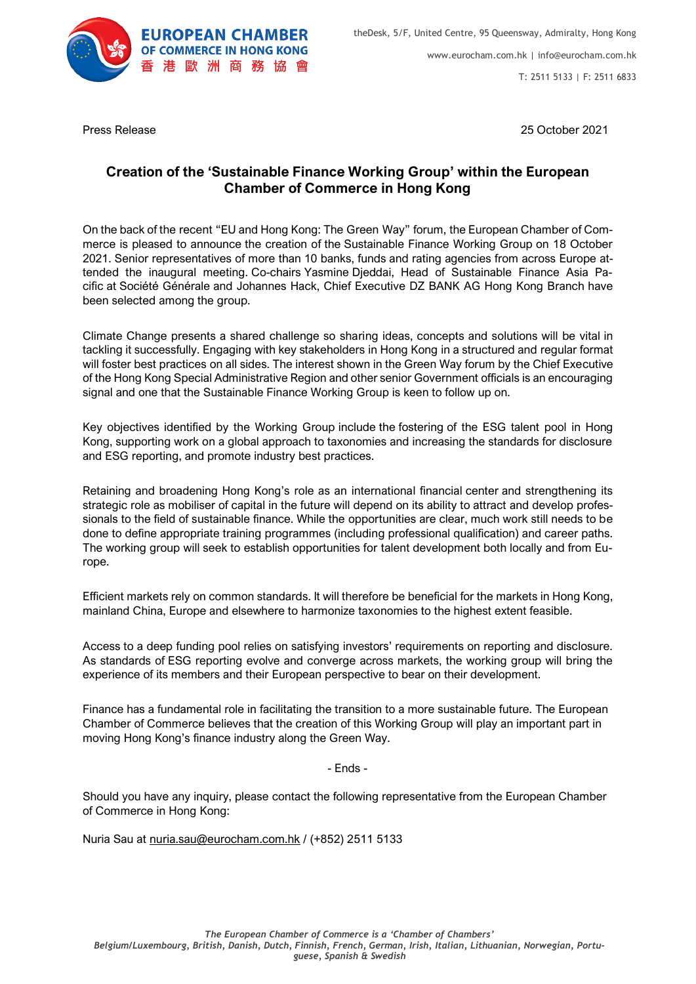

T: 2511 5133 | F: 2511 6833

Press Release 25 October 2021

## **Creation of the 'Sustainable Finance Working Group' within the European Chamber of Commerce in Hong Kong**

On the back of the recent "EU and Hong Kong: The Green Way" forum, the European Chamber of Commerce is pleased to announce the creation of the Sustainable Finance Working Group on 18 October 2021. Senior representatives of more than 10 banks, funds and rating agencies from across Europe attended the inaugural meeting. Co-chairs Yasmine Djeddai, Head of Sustainable Finance Asia Pacific at Société Générale and Johannes Hack, Chief Executive DZ BANK AG Hong Kong Branch have been selected among the group.

Climate Change presents a shared challenge so sharing ideas, concepts and solutions will be vital in tackling it successfully. Engaging with key stakeholders in Hong Kong in a structured and regular format will foster best practices on all sides. The interest shown in the Green Way forum by the Chief Executive of the Hong Kong Special Administrative Region and other senior Government officials is an encouraging signal and one that the Sustainable Finance Working Group is keen to follow up on.

Key objectives identified by the Working Group include the fostering of the ESG talent pool in Hong Kong, supporting work on a global approach to taxonomies and increasing the standards for disclosure and ESG reporting, and promote industry best practices.

Retaining and broadening Hong Kong's role as an international financial center and strengthening its strategic role as mobiliser of capital in the future will depend on its ability to attract and develop professionals to the field of sustainable finance. While the opportunities are clear, much work still needs to be done to define appropriate training programmes (including professional qualification) and career paths. The working group will seek to establish opportunities for talent development both locally and from Europe.

Efficient markets rely on common standards. It will therefore be beneficial for the markets in Hong Kong, mainland China, Europe and elsewhere to harmonize taxonomies to the highest extent feasible.

Access to a deep funding pool relies on satisfying investors' requirements on reporting and disclosure. As standards of ESG reporting evolve and converge across markets, the working group will bring the experience of its members and their European perspective to bear on their development.

Finance has a fundamental role in facilitating the transition to a more sustainable future. The European Chamber of Commerce believes that the creation of this Working Group will play an important part in moving Hong Kong's finance industry along the Green Way.

- Ends -

Should you have any inquiry, please contact the following representative from the European Chamber of Commerce in Hong Kong:

Nuria Sau at [nuria.sau@eurocham.com.hk](mailto:nuria.sau@eurocham.com.hk) / (+852) 2511 5133